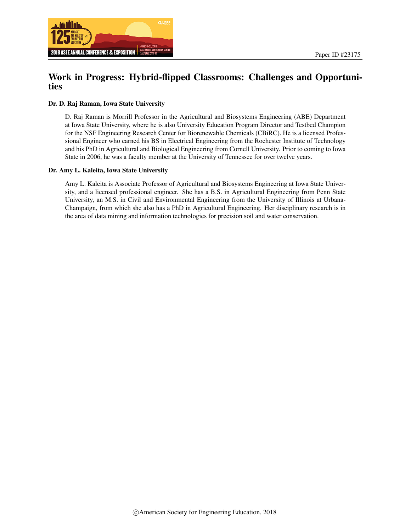

# Work in Progress: Hybrid-flipped Classrooms: Challenges and Opportunities

#### Dr. D. Raj Raman, Iowa State University

D. Raj Raman is Morrill Professor in the Agricultural and Biosystems Engineering (ABE) Department at Iowa State University, where he is also University Education Program Director and Testbed Champion for the NSF Engineering Research Center for Biorenewable Chemicals (CBiRC). He is a licensed Professional Engineer who earned his BS in Electrical Engineering from the Rochester Institute of Technology and his PhD in Agricultural and Biological Engineering from Cornell University. Prior to coming to Iowa State in 2006, he was a faculty member at the University of Tennessee for over twelve years.

#### Dr. Amy L. Kaleita, Iowa State University

Amy L. Kaleita is Associate Professor of Agricultural and Biosystems Engineering at Iowa State University, and a licensed professional engineer. She has a B.S. in Agricultural Engineering from Penn State University, an M.S. in Civil and Environmental Engineering from the University of Illinois at Urbana-Champaign, from which she also has a PhD in Agricultural Engineering. Her disciplinary research is in the area of data mining and information technologies for precision soil and water conservation.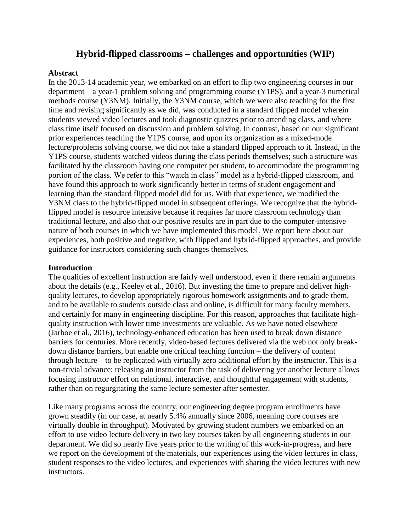# **Hybrid-flipped classrooms – challenges and opportunities (WIP)**

#### **Abstract**

In the 2013-14 academic year, we embarked on an effort to flip two engineering courses in our department – a year-1 problem solving and programming course (Y1PS), and a year-3 numerical methods course (Y3NM). Initially, the Y3NM course, which we were also teaching for the first time and revising significantly as we did, was conducted in a standard flipped model wherein students viewed video lectures and took diagnostic quizzes prior to attending class, and where class time itself focused on discussion and problem solving. In contrast, based on our significant prior experiences teaching the Y1PS course, and upon its organization as a mixed-mode lecture/problems solving course, we did not take a standard flipped approach to it. Instead, in the Y1PS course, students watched videos during the class periods themselves; such a structure was facilitated by the classroom having one computer per student, to accommodate the programming portion of the class. We refer to this "watch in class" model as a hybrid-flipped classroom, and have found this approach to work significantly better in terms of student engagement and learning than the standard flipped model did for us. With that experience, we modified the Y3NM class to the hybrid-flipped model in subsequent offerings. We recognize that the hybridflipped model is resource intensive because it requires far more classroom technology than traditional lecture, and also that our positive results are in part due to the computer-intensive nature of both courses in which we have implemented this model. We report here about our experiences, both positive and negative, with flipped and hybrid-flipped approaches, and provide guidance for instructors considering such changes themselves.

#### **Introduction**

The qualities of excellent instruction are fairly well understood, even if there remain arguments about the details (e.g., Keeley et al., 2016). But investing the time to prepare and deliver highquality lectures, to develop appropriately rigorous homework assignments and to grade them, and to be available to students outside class and online, is difficult for many faculty members, and certainly for many in engineering discipline. For this reason, approaches that facilitate highquality instruction with lower time investments are valuable. As we have noted elsewhere (Jarboe et al., 2016), technology-enhanced education has been used to break down distance barriers for centuries. More recently, video-based lectures delivered via the web not only breakdown distance barriers, but enable one critical teaching function – the delivery of content through lecture – to be replicated with virtually zero additional effort by the instructor. This is a non-trivial advance: releasing an instructor from the task of delivering yet another lecture allows focusing instructor effort on relational, interactive, and thoughtful engagement with students, rather than on regurgitating the same lecture semester after semester.

Like many programs across the country, our engineering degree program enrollments have grown steadily (in our case, at nearly 5.4% annually since 2006, meaning core courses are virtually double in throughput). Motivated by growing student numbers we embarked on an effort to use video lecture delivery in two key courses taken by all engineering students in our department. We did so nearly five years prior to the writing of this work-in-progress, and here we report on the development of the materials, our experiences using the video lectures in class, student responses to the video lectures, and experiences with sharing the video lectures with new instructors.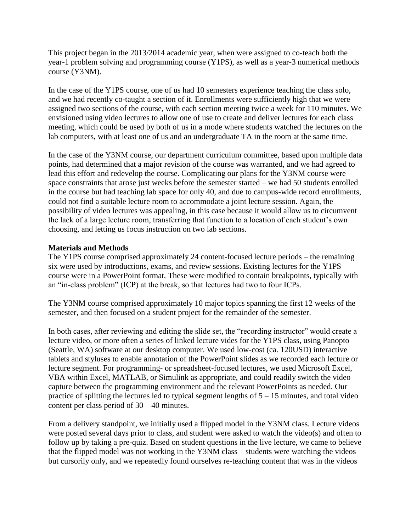This project began in the 2013/2014 academic year, when were assigned to co-teach both the year-1 problem solving and programming course (Y1PS), as well as a year-3 numerical methods course (Y3NM).

In the case of the Y1PS course, one of us had 10 semesters experience teaching the class solo, and we had recently co-taught a section of it. Enrollments were sufficiently high that we were assigned two sections of the course, with each section meeting twice a week for 110 minutes. We envisioned using video lectures to allow one of use to create and deliver lectures for each class meeting, which could be used by both of us in a mode where students watched the lectures on the lab computers, with at least one of us and an undergraduate TA in the room at the same time.

In the case of the Y3NM course, our department curriculum committee, based upon multiple data points, had determined that a major revision of the course was warranted, and we had agreed to lead this effort and redevelop the course. Complicating our plans for the Y3NM course were space constraints that arose just weeks before the semester started – we had 50 students enrolled in the course but had teaching lab space for only 40, and due to campus-wide record enrollments, could not find a suitable lecture room to accommodate a joint lecture session. Again, the possibility of video lectures was appealing, in this case because it would allow us to circumvent the lack of a large lecture room, transferring that function to a location of each student's own choosing, and letting us focus instruction on two lab sections.

### **Materials and Methods**

The Y1PS course comprised approximately 24 content-focused lecture periods – the remaining six were used by introductions, exams, and review sessions. Existing lectures for the Y1PS course were in a PowerPoint format. These were modified to contain breakpoints, typically with an "in-class problem" (ICP) at the break, so that lectures had two to four ICPs.

The Y3NM course comprised approximately 10 major topics spanning the first 12 weeks of the semester, and then focused on a student project for the remainder of the semester.

In both cases, after reviewing and editing the slide set, the "recording instructor" would create a lecture video, or more often a series of linked lecture vides for the Y1PS class, using Panopto (Seattle, WA) software at our desktop computer. We used low-cost (ca. 120USD) interactive tablets and styluses to enable annotation of the PowerPoint slides as we recorded each lecture or lecture segment. For programming- or spreadsheet-focused lectures, we used Microsoft Excel, VBA within Excel, MATLAB, or Simulink as appropriate, and could readily switch the video capture between the programming environment and the relevant PowerPoints as needed. Our practice of splitting the lectures led to typical segment lengths of  $5 - 15$  minutes, and total video content per class period of 30 – 40 minutes.

From a delivery standpoint, we initially used a flipped model in the Y3NM class. Lecture videos were posted several days prior to class, and student were asked to watch the video(s) and often to follow up by taking a pre-quiz. Based on student questions in the live lecture, we came to believe that the flipped model was not working in the Y3NM class – students were watching the videos but cursorily only, and we repeatedly found ourselves re-teaching content that was in the videos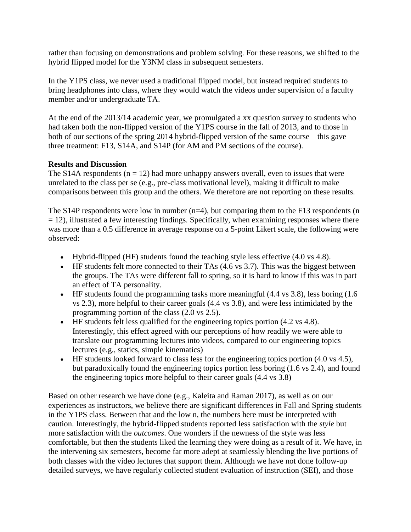rather than focusing on demonstrations and problem solving. For these reasons, we shifted to the hybrid flipped model for the Y3NM class in subsequent semesters.

In the Y1PS class, we never used a traditional flipped model, but instead required students to bring headphones into class, where they would watch the videos under supervision of a faculty member and/or undergraduate TA.

At the end of the 2013/14 academic year, we promulgated a xx question survey to students who had taken both the non-flipped version of the Y1PS course in the fall of 2013, and to those in both of our sections of the spring 2014 hybrid-flipped version of the same course – this gave three treatment: F13, S14A, and S14P (for AM and PM sections of the course).

## **Results and Discussion**

The S14A respondents  $(n = 12)$  had more unhappy answers overall, even to issues that were unrelated to the class per se (e.g., pre-class motivational level), making it difficult to make comparisons between this group and the others. We therefore are not reporting on these results.

The S14P respondents were low in number  $(n=4)$ , but comparing them to the F13 respondents (n  $= 12$ ), illustrated a few interesting findings. Specifically, when examining responses where there was more than a 0.5 difference in average response on a 5-point Likert scale, the following were observed:

- Hybrid-flipped (HF) students found the teaching style less effective (4.0 vs 4.8).
- $\bullet$  HF students felt more connected to their TAs (4.6 vs 3.7). This was the biggest between the groups. The TAs were different fall to spring, so it is hard to know if this was in part an effect of TA personality.
- $\bullet$  HF students found the programming tasks more meaningful (4.4 vs 3.8), less boring (1.6) vs 2.3), more helpful to their career goals (4.4 vs 3.8), and were less intimidated by the programming portion of the class (2.0 vs 2.5).
- $\bullet$  HF students felt less qualified for the engineering topics portion (4.2 vs 4.8). Interestingly, this effect agreed with our perceptions of how readily we were able to translate our programming lectures into videos, compared to our engineering topics lectures (e.g., statics, simple kinematics)
- HF students looked forward to class less for the engineering topics portion (4.0 vs 4.5), but paradoxically found the engineering topics portion less boring (1.6 vs 2.4), and found the engineering topics more helpful to their career goals (4.4 vs 3.8)

Based on other research we have done (e.g., Kaleita and Raman 2017), as well as on our experiences as instructors, we believe there are significant differences in Fall and Spring students in the Y1PS class. Between that and the low n, the numbers here must be interpreted with caution. Interestingly, the hybrid-flipped students reported less satisfaction with the *style* but more satisfaction with the *outcomes*. One wonders if the newness of the style was less comfortable, but then the students liked the learning they were doing as a result of it. We have, in the intervening six semesters, become far more adept at seamlessly blending the live portions of both classes with the video lectures that support them. Although we have not done follow-up detailed surveys, we have regularly collected student evaluation of instruction (SEI), and those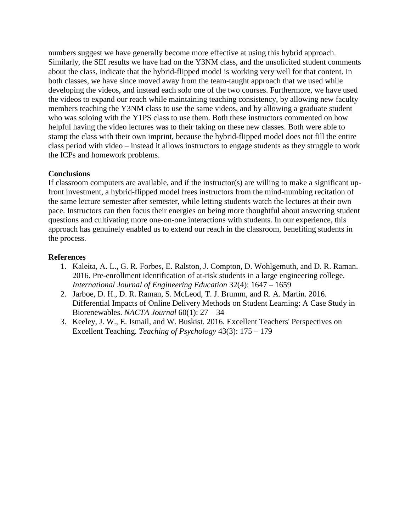numbers suggest we have generally become more effective at using this hybrid approach. Similarly, the SEI results we have had on the Y3NM class, and the unsolicited student comments about the class, indicate that the hybrid-flipped model is working very well for that content. In both classes, we have since moved away from the team-taught approach that we used while developing the videos, and instead each solo one of the two courses. Furthermore, we have used the videos to expand our reach while maintaining teaching consistency, by allowing new faculty members teaching the Y3NM class to use the same videos, and by allowing a graduate student who was soloing with the Y1PS class to use them. Both these instructors commented on how helpful having the video lectures was to their taking on these new classes. Both were able to stamp the class with their own imprint, because the hybrid-flipped model does not fill the entire class period with video – instead it allows instructors to engage students as they struggle to work the ICPs and homework problems.

### **Conclusions**

If classroom computers are available, and if the instructor(s) are willing to make a significant upfront investment, a hybrid-flipped model frees instructors from the mind-numbing recitation of the same lecture semester after semester, while letting students watch the lectures at their own pace. Instructors can then focus their energies on being more thoughtful about answering student questions and cultivating more one-on-one interactions with students. In our experience, this approach has genuinely enabled us to extend our reach in the classroom, benefiting students in the process.

#### **References**

- 1. Kaleita, A. L., G. R. Forbes, E. Ralston, J. Compton, D. Wohlgemuth, and D. R. Raman. 2016. Pre-enrollment identification of at-risk students in a large engineering college. *International Journal of Engineering Education* 32(4): 1647 – 1659
- 2. Jarboe, D. H., D. R. Raman, S. McLeod, T. J. Brumm, and R. A. Martin. 2016. Differential Impacts of Online Delivery Methods on Student Learning: A Case Study in Biorenewables. *NACTA Journal* 60(1): 27 – 34
- 3. Keeley, J. W., E. Ismail, and W. Buskist. 2016. Excellent Teachers' Perspectives on Excellent Teaching. *Teaching of Psychology* 43(3): 175 – 179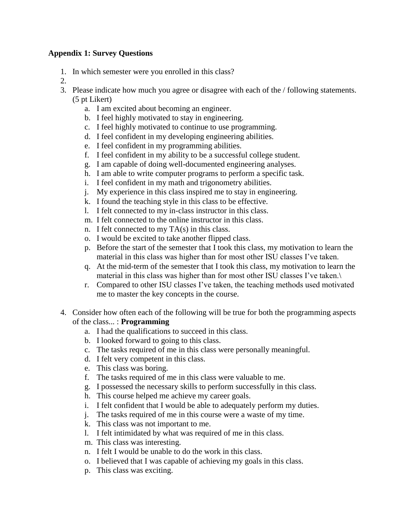### **Appendix 1: Survey Questions**

- 1. In which semester were you enrolled in this class?
- 2.
- 3. Please indicate how much you agree or disagree with each of the / following statements. (5 pt Likert)
	- a. I am excited about becoming an engineer.
	- b. I feel highly motivated to stay in engineering.
	- c. I feel highly motivated to continue to use programming.
	- d. I feel confident in my developing engineering abilities.
	- e. I feel confident in my programming abilities.
	- f. I feel confident in my ability to be a successful college student.
	- g. I am capable of doing well-documented engineering analyses.
	- h. I am able to write computer programs to perform a specific task.
	- i. I feel confident in my math and trigonometry abilities.
	- j. My experience in this class inspired me to stay in engineering.
	- k. I found the teaching style in this class to be effective.
	- l. I felt connected to my in-class instructor in this class.
	- m. I felt connected to the online instructor in this class.
	- n. I felt connected to my TA(s) in this class.
	- o. I would be excited to take another flipped class.
	- p. Before the start of the semester that I took this class, my motivation to learn the material in this class was higher than for most other ISU classes I've taken.
	- q. At the mid-term of the semester that I took this class, my motivation to learn the material in this class was higher than for most other ISU classes I've taken.\
	- r. Compared to other ISU classes I've taken, the teaching methods used motivated me to master the key concepts in the course.
- 4. Consider how often each of the following will be true for both the programming aspects of the class... : **Programming**
	- a. I had the qualifications to succeed in this class.
	- b. I looked forward to going to this class.
	- c. The tasks required of me in this class were personally meaningful.
	- d. I felt very competent in this class.
	- e. This class was boring.
	- f. The tasks required of me in this class were valuable to me.
	- g. I possessed the necessary skills to perform successfully in this class.
	- h. This course helped me achieve my career goals.
	- i. I felt confident that I would be able to adequately perform my duties.
	- j. The tasks required of me in this course were a waste of my time.
	- k. This class was not important to me.
	- l. I felt intimidated by what was required of me in this class.
	- m. This class was interesting.
	- n. I felt I would be unable to do the work in this class.
	- o. I believed that I was capable of achieving my goals in this class.
	- p. This class was exciting.